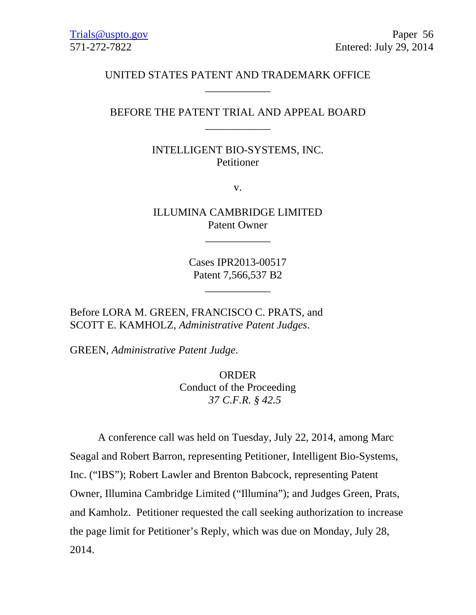# UNITED STATES PATENT AND TRADEMARK OFFICE \_\_\_\_\_\_\_\_\_\_\_\_

# BEFORE THE PATENT TRIAL AND APPEAL BOARD \_\_\_\_\_\_\_\_\_\_\_\_

INTELLIGENT BIO-SYSTEMS, INC. Petitioner

v.

ILLUMINA CAMBRIDGE LIMITED Patent Owner

\_\_\_\_\_\_\_\_\_\_\_\_

Cases IPR2013-00517 Patent 7,566,537 B2

\_\_\_\_\_\_\_\_\_\_\_\_

Before LORA M. GREEN, FRANCISCO C. PRATS, and SCOTT E. KAMHOLZ, *Administrative Patent Judges*.

GREEN, *Administrative Patent Judge*.

ORDER Conduct of the Proceeding *37 C.F.R. § 42.5*

A conference call was held on Tuesday, July 22, 2014, among Marc Seagal and Robert Barron, representing Petitioner, Intelligent Bio-Systems, Inc. ("IBS"); Robert Lawler and Brenton Babcock, representing Patent Owner, Illumina Cambridge Limited ("Illumina"); and Judges Green, Prats, and Kamholz. Petitioner requested the call seeking authorization to increase the page limit for Petitioner's Reply, which was due on Monday, July 28, 2014.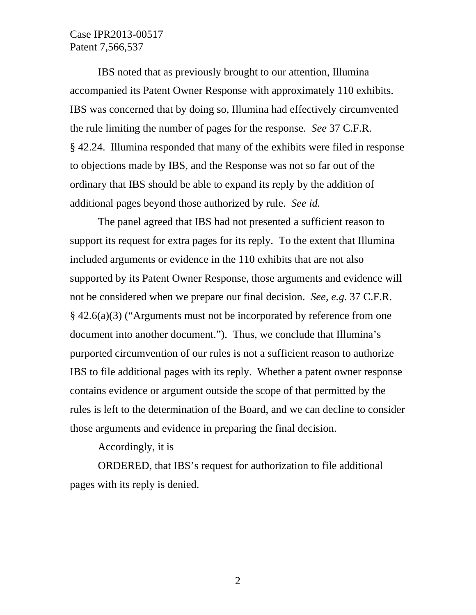## Case IPR2013-00517 Patent 7,566,537

IBS noted that as previously brought to our attention, Illumina accompanied its Patent Owner Response with approximately 110 exhibits. IBS was concerned that by doing so, Illumina had effectively circumvented the rule limiting the number of pages for the response. *See* 37 C.F.R. § 42.24. Illumina responded that many of the exhibits were filed in response to objections made by IBS, and the Response was not so far out of the ordinary that IBS should be able to expand its reply by the addition of additional pages beyond those authorized by rule. *See id.*

 The panel agreed that IBS had not presented a sufficient reason to support its request for extra pages for its reply. To the extent that Illumina included arguments or evidence in the 110 exhibits that are not also supported by its Patent Owner Response, those arguments and evidence will not be considered when we prepare our final decision. *See, e.g.* 37 C.F.R. § 42.6(a)(3) ("Arguments must not be incorporated by reference from one document into another document."). Thus, we conclude that Illumina's purported circumvention of our rules is not a sufficient reason to authorize IBS to file additional pages with its reply. Whether a patent owner response contains evidence or argument outside the scope of that permitted by the rules is left to the determination of the Board, and we can decline to consider those arguments and evidence in preparing the final decision.

#### Accordingly, it is

 ORDERED, that IBS's request for authorization to file additional pages with its reply is denied.

2